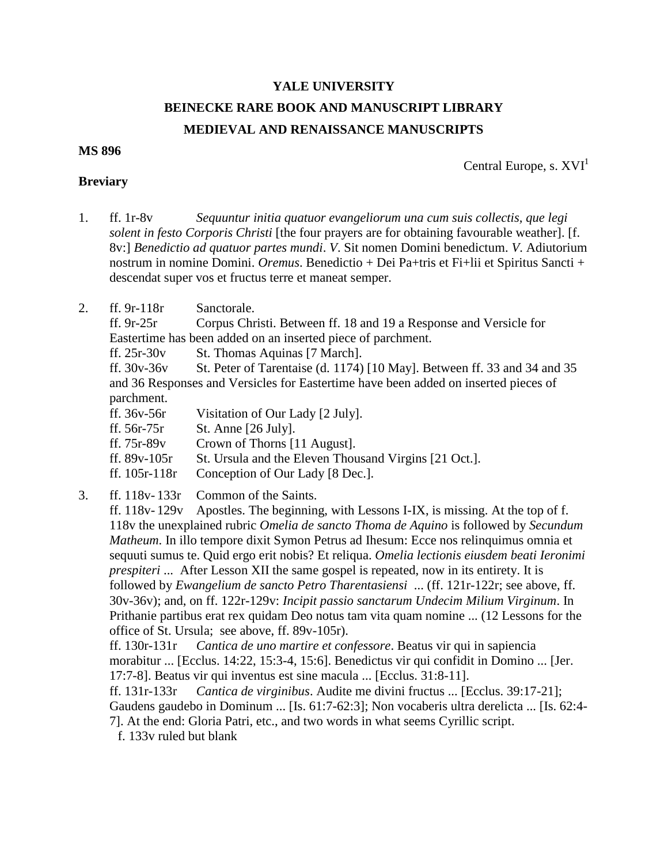## **YALE UNIVERSITY BEINECKE RARE BOOK AND MANUSCRIPT LIBRARY MEDIEVAL AND RENAISSANCE MANUSCRIPTS**

## **MS 896**

Central Europe, s.  $XVI<sup>1</sup>$ 

## **Breviary**

- 1. ff. 1r-8v *Sequuntur initia quatuor evangeliorum una cum suis collectis, que legi solent in festo Corporis Christi* [the four prayers are for obtaining favourable weather]. [f. 8v:] *Benedictio ad quatuor partes mundi*. *V*. Sit nomen Domini benedictum. *V*. Adiutorium nostrum in nomine Domini. *Oremus*. Benedictio + Dei Pa+tris et Fi+lii et Spiritus Sancti + descendat super vos et fructus terre et maneat semper.
- 2. ff. 9r-118r Sanctorale.

ff. 9r-25r Corpus Christi. Between ff. 18 and 19 a Response and Versicle for Eastertime has been added on an inserted piece of parchment.

ff. 25r-30v St. Thomas Aquinas [7 March].

ff.  $30v-36v$  St. Peter of Tarentaise (d. 1174) [10 May]. Between ff. 33 and 34 and 35 and 36 Responses and Versicles for Eastertime have been added on inserted pieces of parchment.

ff. 36v-56r Visitation of Our Lady [2 July].

ff. 56r-75r St. Anne [26 July].

ff. 75r-89v Crown of Thorns [11 August].

ff. 89v-105r St. Ursula and the Eleven Thousand Virgins [21 Oct.].

ff. 105r-118r Conception of Our Lady [8 Dec.].

3. ff. 118v- 133r Common of the Saints.

ff. 118v- 129v Apostles. The beginning, with Lessons I-IX, is missing. At the top of f. 118v the unexplained rubric *Omelia de sancto Thoma de Aquino* is followed by *Secundum Matheum*. In illo tempore dixit Symon Petrus ad Ihesum: Ecce nos relinquimus omnia et sequuti sumus te. Quid ergo erit nobis? Et reliqua. *Omelia lectionis eiusdem beati Ieronimi prespiteri* ... After Lesson XII the same gospel is repeated, now in its entirety. It is followed by *Ewangelium de sancto Petro Tharentasiensi* ... (ff. 121r-122r; see above, ff. 30v-36v); and, on ff. 122r-129v: *Incipit passio sanctarum Undecim Milium Virginum*. In Prithanie partibus erat rex quidam Deo notus tam vita quam nomine ... (12 Lessons for the office of St. Ursula; see above, ff. 89v-105r).

ff. 130r-131r *Cantica de uno martire et confessore*. Beatus vir qui in sapiencia morabitur ... [Ecclus. 14:22, 15:3-4, 15:6]. Benedictus vir qui confidit in Domino ... [Jer. 17:7-8]. Beatus vir qui inventus est sine macula ... [Ecclus. 31:8-11].

ff. 131r-133r *Cantica de virginibus*. Audite me divini fructus ... [Ecclus. 39:17-21]; Gaudens gaudebo in Dominum ... [Is. 61:7-62:3]; Non vocaberis ultra derelicta ... [Is. 62:4-

7]. At the end: Gloria Patri, etc., and two words in what seems Cyrillic script.

f. 133v ruled but blank